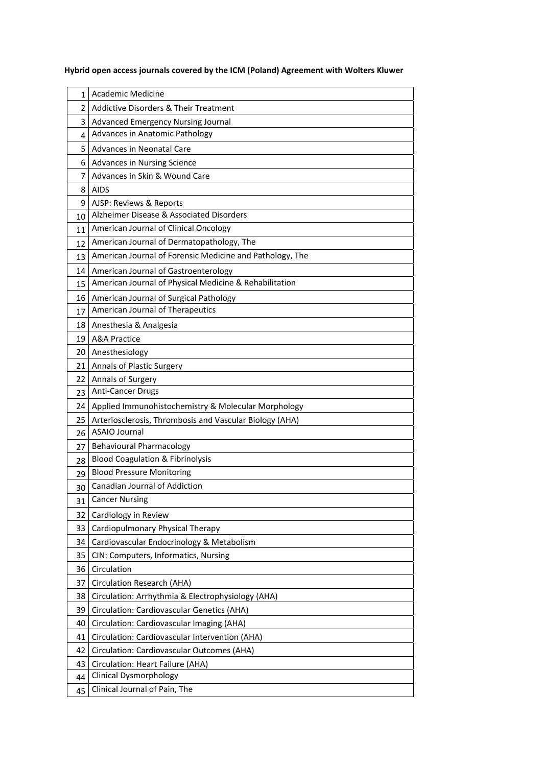## **Hybrid open access journals covered by the ICM (Poland) Agreement with Wolters Kluwer**

| 1    | Academic Medicine                                        |
|------|----------------------------------------------------------|
| 2    | <b>Addictive Disorders &amp; Their Treatment</b>         |
| 3    | Advanced Emergency Nursing Journal                       |
| 4    | Advances in Anatomic Pathology                           |
| 5    | Advances in Neonatal Care                                |
| 6.   | <b>Advances in Nursing Science</b>                       |
| 7    | Advances in Skin & Wound Care                            |
| 8    | <b>AIDS</b>                                              |
| 9    | AJSP: Reviews & Reports                                  |
| 10   | Alzheimer Disease & Associated Disorders                 |
| 11   | American Journal of Clinical Oncology                    |
| 12   | American Journal of Dermatopathology, The                |
| 13   | American Journal of Forensic Medicine and Pathology, The |
| 14   | American Journal of Gastroenterology                     |
| 15   | American Journal of Physical Medicine & Rehabilitation   |
| 16   | American Journal of Surgical Pathology                   |
| 17   | American Journal of Therapeutics                         |
| 18   | Anesthesia & Analgesia                                   |
| 19   | <b>A&amp;A Practice</b>                                  |
| 20   | Anesthesiology                                           |
| 21 I | Annals of Plastic Surgery                                |
| 22   | Annals of Surgery                                        |
| 23   | <b>Anti-Cancer Drugs</b>                                 |
| 24   | Applied Immunohistochemistry & Molecular Morphology      |
| 25   | Arteriosclerosis, Thrombosis and Vascular Biology (AHA)  |
| 26   | <b>ASAIO Journal</b>                                     |
| 27   | <b>Behavioural Pharmacology</b>                          |
| 28   | <b>Blood Coagulation &amp; Fibrinolysis</b>              |
| 29   | <b>Blood Pressure Monitoring</b>                         |
| 30   | Canadian Journal of Addiction                            |
| 31   | <b>Cancer Nursing</b>                                    |
| 32   | Cardiology in Review                                     |
| 33   | Cardiopulmonary Physical Therapy                         |
| 34   | Cardiovascular Endocrinology & Metabolism                |
| 35   | CIN: Computers, Informatics, Nursing                     |
| 36   | Circulation                                              |
| 37   | Circulation Research (AHA)                               |
| 38   | Circulation: Arrhythmia & Electrophysiology (AHA)        |
| 39   | Circulation: Cardiovascular Genetics (AHA)               |
| 40   | Circulation: Cardiovascular Imaging (AHA)                |
| 41   | Circulation: Cardiovascular Intervention (AHA)           |
| 42   | Circulation: Cardiovascular Outcomes (AHA)               |
| 43   | Circulation: Heart Failure (AHA)                         |
| 44   | <b>Clinical Dysmorphology</b>                            |
| 45   | Clinical Journal of Pain, The                            |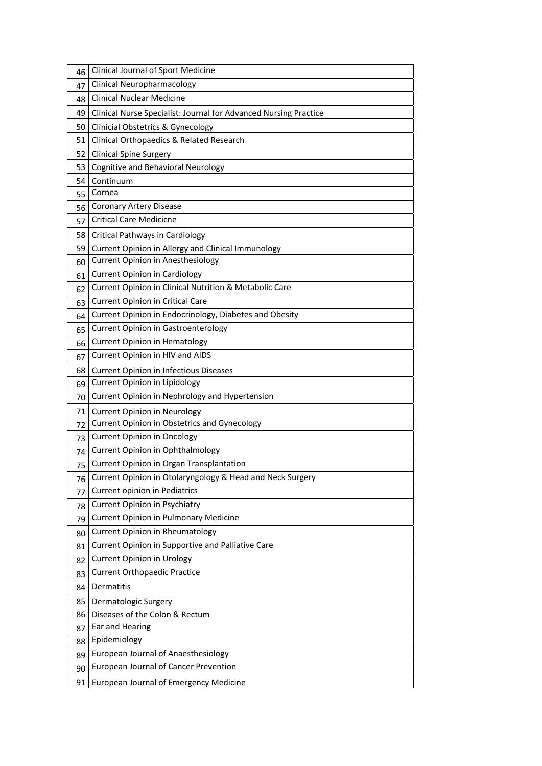| 46 | Clinical Journal of Sport Medicine                               |
|----|------------------------------------------------------------------|
| 47 | <b>Clinical Neuropharmacology</b>                                |
| 48 | <b>Clinical Nuclear Medicine</b>                                 |
| 49 | Clinical Nurse Specialist: Journal for Advanced Nursing Practice |
| 50 | <b>Clinicial Obstetrics &amp; Gynecology</b>                     |
| 51 | Clinical Orthopaedics & Related Research                         |
| 52 | <b>Clinical Spine Surgery</b>                                    |
| 53 | Cognitive and Behavioral Neurology                               |
| 54 | Continuum                                                        |
| 55 | Cornea                                                           |
| 56 | <b>Coronary Artery Disease</b>                                   |
| 57 | <b>Critical Care Medicicne</b>                                   |
| 58 | <b>Critical Pathways in Cardiology</b>                           |
| 59 | Current Opinion in Allergy and Clinical Immunology               |
| 60 | Current Opinion in Anesthesiology                                |
| 61 | <b>Current Opinion in Cardiology</b>                             |
| 62 | Current Opinion in Clinical Nutrition & Metabolic Care           |
| 63 | <b>Current Opinion in Critical Care</b>                          |
| 64 | Current Opinion in Endocrinology, Diabetes and Obesity           |
| 65 | <b>Current Opinion in Gastroenterology</b>                       |
| 66 | <b>Current Opinion in Hematology</b>                             |
| 67 | Current Opinion in HIV and AIDS                                  |
| 68 | <b>Current Opinion in Infectious Diseases</b>                    |
| 69 | Current Opinion in Lipidology                                    |
| 70 | Current Opinion in Nephrology and Hypertension                   |
| 71 | <b>Current Opinion in Neurology</b>                              |
| 72 | Current Opinion in Obstetrics and Gynecology                     |
| 73 | <b>Current Opinion in Oncology</b>                               |
| 74 | <b>Current Opinion in Ophthalmology</b>                          |
| 75 | Current Opinion in Organ Transplantation                         |
| 76 | Current Opinion in Otolaryngology & Head and Neck Surgery        |
| 77 | Current opinion in Pediatrics                                    |
| 78 | <b>Current Opinion in Psychiatry</b>                             |
| 79 | <b>Current Opinion in Pulmonary Medicine</b>                     |
| 80 | <b>Current Opinion in Rheumatology</b>                           |
| 81 | Current Opinion in Supportive and Palliative Care                |
| 82 | <b>Current Opinion in Urology</b>                                |
| 83 | <b>Current Orthopaedic Practice</b>                              |
| 84 | Dermatitis                                                       |
| 85 | Dermatologic Surgery                                             |
| 86 | Diseases of the Colon & Rectum                                   |
| 87 | Ear and Hearing                                                  |
| 88 | Epidemiology                                                     |
| 89 | European Journal of Anaesthesiology                              |
| 90 | European Journal of Cancer Prevention                            |
| 91 | European Journal of Emergency Medicine                           |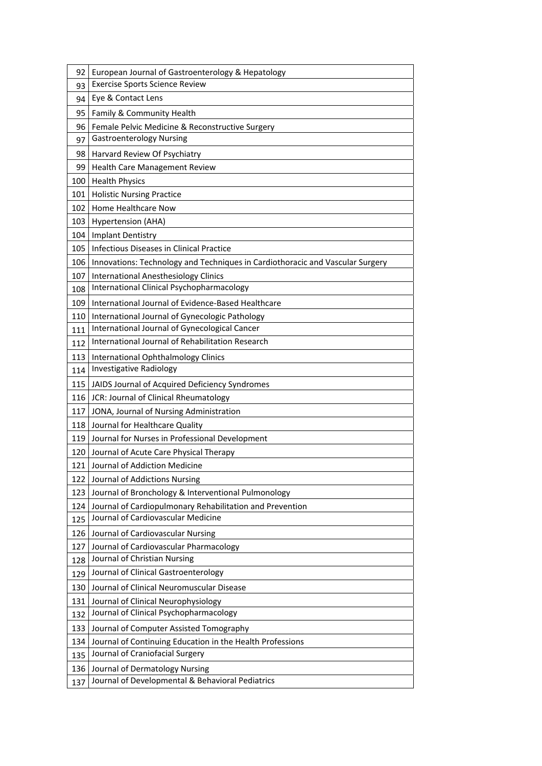| 92  | European Journal of Gastroenterology & Hepatology                             |
|-----|-------------------------------------------------------------------------------|
| 93  | <b>Exercise Sports Science Review</b>                                         |
| 94  | Eye & Contact Lens                                                            |
| 95  | Family & Community Health                                                     |
| 96  | Female Pelvic Medicine & Reconstructive Surgery                               |
| 97  | <b>Gastroenterology Nursing</b>                                               |
| 98  | Harvard Review Of Psychiatry                                                  |
| 99  | Health Care Management Review                                                 |
| 100 | <b>Health Physics</b>                                                         |
| 101 | <b>Holistic Nursing Practice</b>                                              |
| 102 | Home Healthcare Now                                                           |
| 103 | Hypertension (AHA)                                                            |
| 104 | <b>Implant Dentistry</b>                                                      |
| 105 | Infectious Diseases in Clinical Practice                                      |
| 106 | Innovations: Technology and Techniques in Cardiothoracic and Vascular Surgery |
| 107 | <b>International Anesthesiology Clinics</b>                                   |
| 108 | International Clinical Psychopharmacology                                     |
| 109 | International Journal of Evidence-Based Healthcare                            |
| 110 | International Journal of Gynecologic Pathology                                |
| 111 | International Journal of Gynecological Cancer                                 |
| 112 | International Journal of Rehabilitation Research                              |
| 113 | International Ophthalmology Clinics                                           |
| 114 | <b>Investigative Radiology</b>                                                |
| 115 | JAIDS Journal of Acquired Deficiency Syndromes                                |
| 116 | JCR: Journal of Clinical Rheumatology                                         |
| 117 | JONA, Journal of Nursing Administration                                       |
| 118 | Journal for Healthcare Quality                                                |
| 119 | Journal for Nurses in Professional Development                                |
| 120 | Journal of Acute Care Physical Therapy                                        |
| 121 | Journal of Addiction Medicine                                                 |
| 122 | Journal of Addictions Nursing                                                 |
| 123 | Journal of Bronchology & Interventional Pulmonology                           |
| 124 | Journal of Cardiopulmonary Rehabilitation and Prevention                      |
| 125 | Journal of Cardiovascular Medicine                                            |
| 126 | Journal of Cardiovascular Nursing                                             |
| 127 | Journal of Cardiovascular Pharmacology                                        |
| 128 | Journal of Christian Nursing                                                  |
| 129 | Journal of Clinical Gastroenterology                                          |
| 130 | Journal of Clinical Neuromuscular Disease                                     |
| 131 | Journal of Clinical Neurophysiology                                           |
| 132 | Journal of Clinical Psychopharmacology                                        |
| 133 | Journal of Computer Assisted Tomography                                       |
| 134 | Journal of Continuing Education in the Health Professions                     |
| 135 | Journal of Craniofacial Surgery                                               |
| 136 | Journal of Dermatology Nursing                                                |
| 137 | Journal of Developmental & Behavioral Pediatrics                              |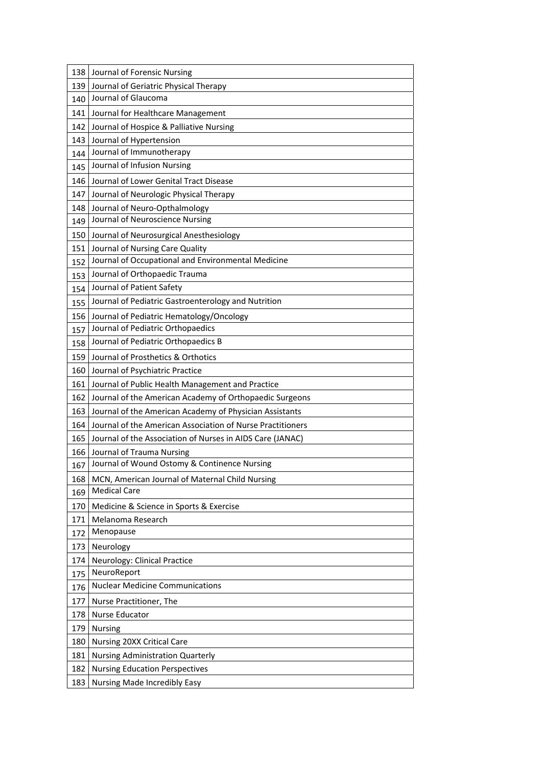| 138 | Journal of Forensic Nursing                                |
|-----|------------------------------------------------------------|
| 139 | Journal of Geriatric Physical Therapy                      |
| 140 | Journal of Glaucoma                                        |
| 141 | Journal for Healthcare Management                          |
| 142 | Journal of Hospice & Palliative Nursing                    |
| 143 | Journal of Hypertension                                    |
| 144 | Journal of Immunotherapy                                   |
| 145 | Journal of Infusion Nursing                                |
| 146 | Journal of Lower Genital Tract Disease                     |
| 147 | Journal of Neurologic Physical Therapy                     |
| 148 | Journal of Neuro-Opthalmology                              |
| 149 | Journal of Neuroscience Nursing                            |
| 150 | Journal of Neurosurgical Anesthesiology                    |
| 151 | Journal of Nursing Care Quality                            |
| 152 | Journal of Occupational and Environmental Medicine         |
| 153 | Journal of Orthopaedic Trauma                              |
| 154 | Journal of Patient Safety                                  |
| 155 | Journal of Pediatric Gastroenterology and Nutrition        |
| 156 | Journal of Pediatric Hematology/Oncology                   |
| 157 | Journal of Pediatric Orthopaedics                          |
| 158 | Journal of Pediatric Orthopaedics B                        |
| 159 | Journal of Prosthetics & Orthotics                         |
| 160 | Journal of Psychiatric Practice                            |
| 161 | Journal of Public Health Management and Practice           |
| 162 | Journal of the American Academy of Orthopaedic Surgeons    |
| 163 | Journal of the American Academy of Physician Assistants    |
| 164 | Journal of the American Association of Nurse Practitioners |
| 165 | Journal of the Association of Nurses in AIDS Care (JANAC)  |
| 166 | Journal of Trauma Nursing                                  |
| 167 | Journal of Wound Ostomy & Continence Nursing               |
| 168 | MCN, American Journal of Maternal Child Nursing            |
| 169 | <b>Medical Care</b>                                        |
| 170 | Medicine & Science in Sports & Exercise                    |
| 171 | Melanoma Research                                          |
| 172 | Menopause                                                  |
| 173 | Neurology                                                  |
| 174 | Neurology: Clinical Practice                               |
| 175 | NeuroReport                                                |
| 176 | <b>Nuclear Medicine Communications</b>                     |
| 177 | Nurse Practitioner, The                                    |
| 178 | Nurse Educator                                             |
| 179 | <b>Nursing</b>                                             |
| 180 | Nursing 20XX Critical Care                                 |
| 181 | <b>Nursing Administration Quarterly</b>                    |
| 182 | <b>Nursing Education Perspectives</b>                      |
| 183 | Nursing Made Incredibly Easy                               |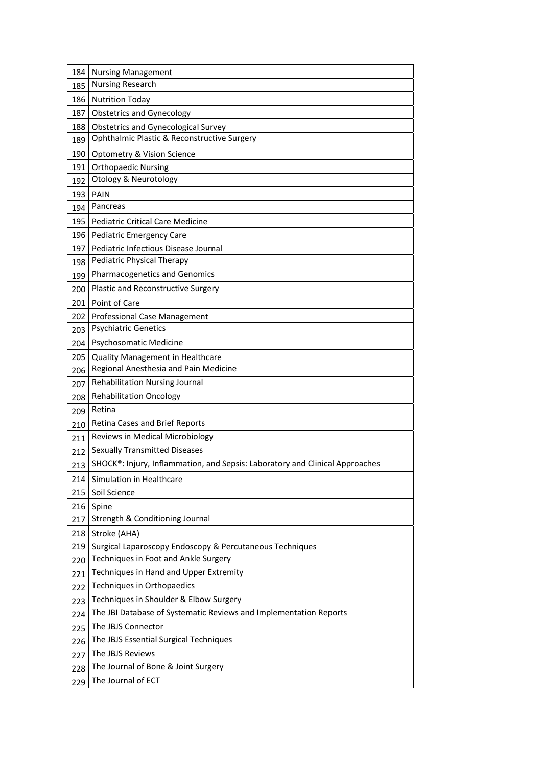| 184 | <b>Nursing Management</b>                                                    |
|-----|------------------------------------------------------------------------------|
| 185 | <b>Nursing Research</b>                                                      |
| 186 | <b>Nutrition Today</b>                                                       |
| 187 | <b>Obstetrics and Gynecology</b>                                             |
| 188 | <b>Obstetrics and Gynecological Survey</b>                                   |
| 189 | Ophthalmic Plastic & Reconstructive Surgery                                  |
| 190 | Optometry & Vision Science                                                   |
| 191 | <b>Orthopaedic Nursing</b>                                                   |
| 192 | <b>Otology &amp; Neurotology</b>                                             |
| 193 | <b>PAIN</b>                                                                  |
| 194 | Pancreas                                                                     |
| 195 | <b>Pediatric Critical Care Medicine</b>                                      |
| 196 | Pediatric Emergency Care                                                     |
| 197 | Pediatric Infectious Disease Journal                                         |
| 198 | <b>Pediatric Physical Therapy</b>                                            |
| 199 | Pharmacogenetics and Genomics                                                |
| 200 | Plastic and Reconstructive Surgery                                           |
| 201 | Point of Care                                                                |
| 202 | Professional Case Management                                                 |
| 203 | <b>Psychiatric Genetics</b>                                                  |
| 204 | Psychosomatic Medicine                                                       |
| 205 | Quality Management in Healthcare                                             |
| 206 | Regional Anesthesia and Pain Medicine                                        |
| 207 | Rehabilitation Nursing Journal                                               |
| 208 | <b>Rehabilitation Oncology</b>                                               |
| 209 | Retina                                                                       |
| 210 | Retina Cases and Brief Reports                                               |
| 211 | Reviews in Medical Microbiology                                              |
| 212 | <b>Sexually Transmitted Diseases</b>                                         |
| 213 | SHOCK®: Injury, Inflammation, and Sepsis: Laboratory and Clinical Approaches |
| 214 | Simulation in Healthcare                                                     |
| 215 | Soil Science                                                                 |
| 216 | Spine                                                                        |
| 217 | Strength & Conditioning Journal                                              |
| 218 | Stroke (AHA)                                                                 |
| 219 | Surgical Laparoscopy Endoscopy & Percutaneous Techniques                     |
| 220 | Techniques in Foot and Ankle Surgery                                         |
| 221 | Techniques in Hand and Upper Extremity                                       |
| 222 | Techniques in Orthopaedics                                                   |
| 223 | Techniques in Shoulder & Elbow Surgery                                       |
| 224 | The JBI Database of Systematic Reviews and Implementation Reports            |
| 225 | The JBJS Connector                                                           |
| 226 | The JBJS Essential Surgical Techniques                                       |
| 227 | The JBJS Reviews                                                             |
| 228 | The Journal of Bone & Joint Surgery                                          |
| 229 | The Journal of ECT                                                           |